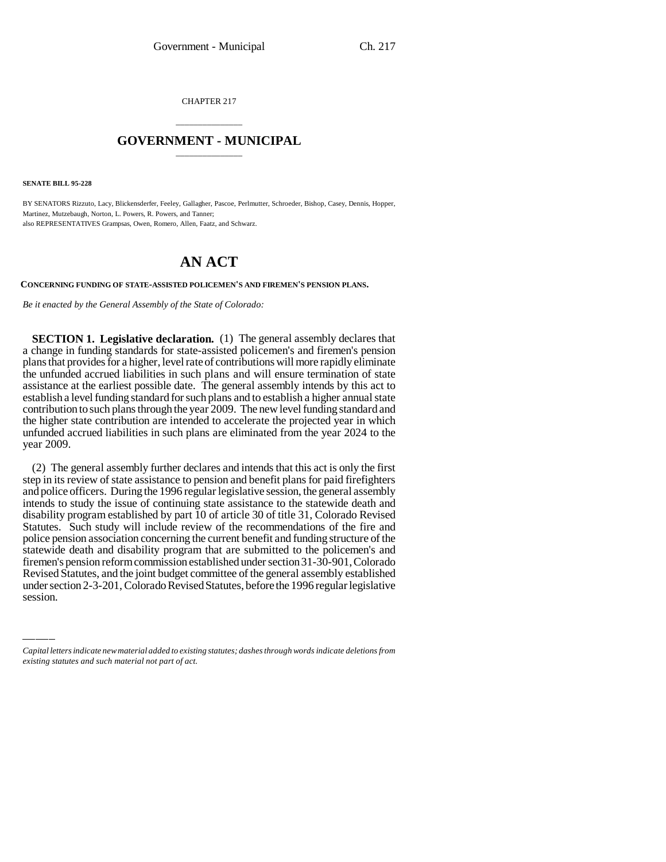CHAPTER 217

## \_\_\_\_\_\_\_\_\_\_\_\_\_\_\_ **GOVERNMENT - MUNICIPAL** \_\_\_\_\_\_\_\_\_\_\_\_\_\_\_

**SENATE BILL 95-228**

BY SENATORS Rizzuto, Lacy, Blickensderfer, Feeley, Gallagher, Pascoe, Perlmutter, Schroeder, Bishop, Casey, Dennis, Hopper, Martinez, Mutzebaugh, Norton, L. Powers, R. Powers, and Tanner; also REPRESENTATIVES Grampsas, Owen, Romero, Allen, Faatz, and Schwarz.

## **AN ACT**

**CONCERNING FUNDING OF STATE-ASSISTED POLICEMEN'S AND FIREMEN'S PENSION PLANS.**

*Be it enacted by the General Assembly of the State of Colorado:*

**SECTION 1. Legislative declaration.** (1) The general assembly declares that a change in funding standards for state-assisted policemen's and firemen's pension plans that provides for a higher, level rate of contributions will more rapidly eliminate the unfunded accrued liabilities in such plans and will ensure termination of state assistance at the earliest possible date. The general assembly intends by this act to establish a level funding standard for such plans and to establish a higher annual state contribution to such plans through the year 2009. The new level funding standard and the higher state contribution are intended to accelerate the projected year in which unfunded accrued liabilities in such plans are eliminated from the year 2024 to the year 2009.

firemen's pension reform commission established under section 31-30-901, Colorado (2) The general assembly further declares and intends that this act is only the first step in its review of state assistance to pension and benefit plans for paid firefighters and police officers. During the 1996 regular legislative session, the general assembly intends to study the issue of continuing state assistance to the statewide death and disability program established by part 10 of article 30 of title 31, Colorado Revised Statutes. Such study will include review of the recommendations of the fire and police pension association concerning the current benefit and funding structure of the statewide death and disability program that are submitted to the policemen's and Revised Statutes, and the joint budget committee of the general assembly established under section 2-3-201, Colorado Revised Statutes, before the 1996 regular legislative session.

*Capital letters indicate new material added to existing statutes; dashes through words indicate deletions from existing statutes and such material not part of act.*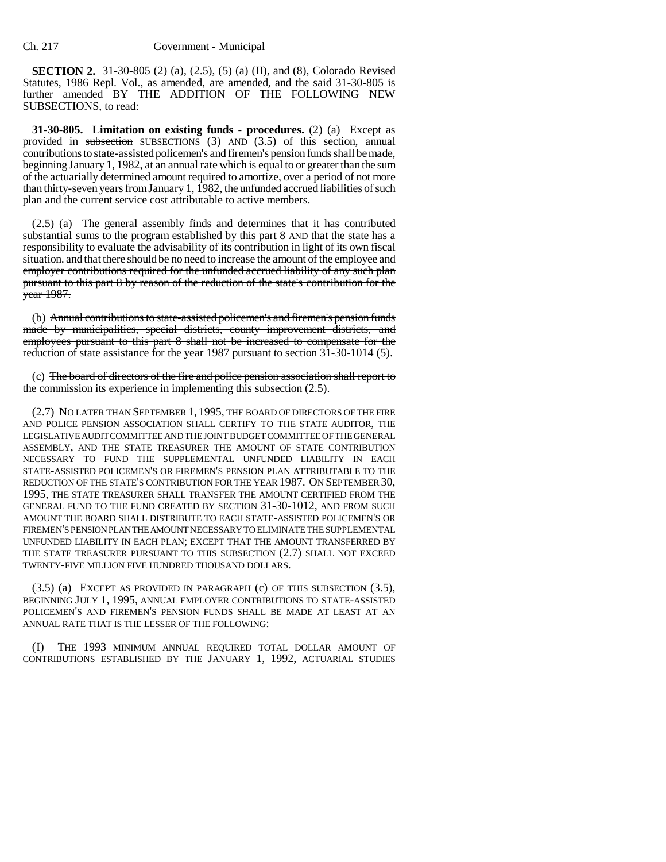**SECTION 2.** 31-30-805 (2) (a), (2.5), (5) (a) (II), and (8), Colorado Revised Statutes, 1986 Repl. Vol., as amended, are amended, and the said 31-30-805 is further amended BY THE ADDITION OF THE FOLLOWING NEW SUBSECTIONS, to read:

**31-30-805. Limitation on existing funds - procedures.** (2) (a) Except as provided in subsection SUBSECTIONS (3) AND (3.5) of this section, annual contributions to state-assisted policemen's and firemen's pension funds shall be made, beginning January 1, 1982, at an annual rate which is equal to or greater than the sum of the actuarially determined amount required to amortize, over a period of not more than thirty-seven years from January 1, 1982, the unfunded accrued liabilities of such plan and the current service cost attributable to active members.

(2.5) (a) The general assembly finds and determines that it has contributed substantial sums to the program established by this part 8 AND that the state has a responsibility to evaluate the advisability of its contribution in light of its own fiscal situation. and that there should be no need to increase the amount of the employee and employer contributions required for the unfunded accrued liability of any such plan pursuant to this part 8 by reason of the reduction of the state's contribution for the year 1987.

(b) Annual contributions to state-assisted policemen's and firemen's pension funds made by municipalities, special districts, county improvement districts, and employees pursuant to this part 8 shall not be increased to compensate for the reduction of state assistance for the year 1987 pursuant to section 31-30-1014 (5).

(c) The board of directors of the fire and police pension association shall report to the commission its experience in implementing this subsection (2.5).

(2.7) NO LATER THAN SEPTEMBER 1, 1995, THE BOARD OF DIRECTORS OF THE FIRE AND POLICE PENSION ASSOCIATION SHALL CERTIFY TO THE STATE AUDITOR, THE LEGISLATIVE AUDIT COMMITTEE AND THE JOINT BUDGET COMMITTEE OF THE GENERAL ASSEMBLY, AND THE STATE TREASURER THE AMOUNT OF STATE CONTRIBUTION NECESSARY TO FUND THE SUPPLEMENTAL UNFUNDED LIABILITY IN EACH STATE-ASSISTED POLICEMEN'S OR FIREMEN'S PENSION PLAN ATTRIBUTABLE TO THE REDUCTION OF THE STATE'S CONTRIBUTION FOR THE YEAR 1987. ON SEPTEMBER 30, 1995, THE STATE TREASURER SHALL TRANSFER THE AMOUNT CERTIFIED FROM THE GENERAL FUND TO THE FUND CREATED BY SECTION 31-30-1012, AND FROM SUCH AMOUNT THE BOARD SHALL DISTRIBUTE TO EACH STATE-ASSISTED POLICEMEN'S OR FIREMEN'S PENSION PLAN THE AMOUNT NECESSARY TO ELIMINATE THE SUPPLEMENTAL UNFUNDED LIABILITY IN EACH PLAN; EXCEPT THAT THE AMOUNT TRANSFERRED BY THE STATE TREASURER PURSUANT TO THIS SUBSECTION (2.7) SHALL NOT EXCEED TWENTY-FIVE MILLION FIVE HUNDRED THOUSAND DOLLARS.

(3.5) (a) EXCEPT AS PROVIDED IN PARAGRAPH (c) OF THIS SUBSECTION (3.5), BEGINNING JULY 1, 1995, ANNUAL EMPLOYER CONTRIBUTIONS TO STATE-ASSISTED POLICEMEN'S AND FIREMEN'S PENSION FUNDS SHALL BE MADE AT LEAST AT AN ANNUAL RATE THAT IS THE LESSER OF THE FOLLOWING:

(I) THE 1993 MINIMUM ANNUAL REQUIRED TOTAL DOLLAR AMOUNT OF CONTRIBUTIONS ESTABLISHED BY THE JANUARY 1, 1992, ACTUARIAL STUDIES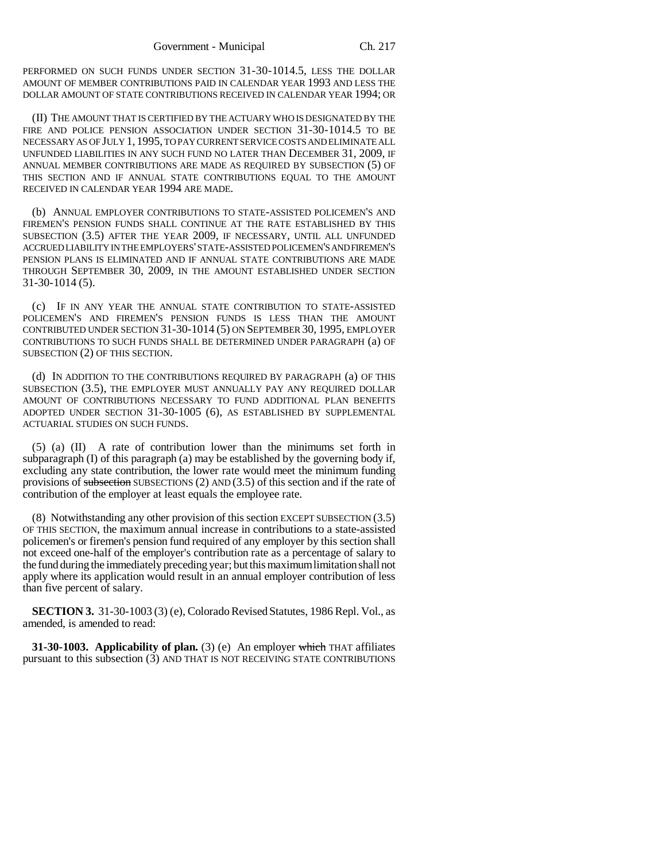PERFORMED ON SUCH FUNDS UNDER SECTION 31-30-1014.5, LESS THE DOLLAR AMOUNT OF MEMBER CONTRIBUTIONS PAID IN CALENDAR YEAR 1993 AND LESS THE DOLLAR AMOUNT OF STATE CONTRIBUTIONS RECEIVED IN CALENDAR YEAR 1994; OR

(II) THE AMOUNT THAT IS CERTIFIED BY THE ACTUARY WHO IS DESIGNATED BY THE FIRE AND POLICE PENSION ASSOCIATION UNDER SECTION 31-30-1014.5 TO BE NECESSARY AS OF JULY 1, 1995, TO PAY CURRENT SERVICE COSTS AND ELIMINATE ALL UNFUNDED LIABILITIES IN ANY SUCH FUND NO LATER THAN DECEMBER 31, 2009, IF ANNUAL MEMBER CONTRIBUTIONS ARE MADE AS REQUIRED BY SUBSECTION (5) OF THIS SECTION AND IF ANNUAL STATE CONTRIBUTIONS EQUAL TO THE AMOUNT RECEIVED IN CALENDAR YEAR 1994 ARE MADE.

(b) ANNUAL EMPLOYER CONTRIBUTIONS TO STATE-ASSISTED POLICEMEN'S AND FIREMEN'S PENSION FUNDS SHALL CONTINUE AT THE RATE ESTABLISHED BY THIS SUBSECTION (3.5) AFTER THE YEAR 2009, IF NECESSARY, UNTIL ALL UNFUNDED ACCRUED LIABILITY IN THE EMPLOYERS' STATE-ASSISTED POLICEMEN'S AND FIREMEN'S PENSION PLANS IS ELIMINATED AND IF ANNUAL STATE CONTRIBUTIONS ARE MADE THROUGH SEPTEMBER 30, 2009, IN THE AMOUNT ESTABLISHED UNDER SECTION 31-30-1014 (5).

(c) IF IN ANY YEAR THE ANNUAL STATE CONTRIBUTION TO STATE-ASSISTED POLICEMEN'S AND FIREMEN'S PENSION FUNDS IS LESS THAN THE AMOUNT CONTRIBUTED UNDER SECTION 31-30-1014 (5) ON SEPTEMBER 30, 1995, EMPLOYER CONTRIBUTIONS TO SUCH FUNDS SHALL BE DETERMINED UNDER PARAGRAPH (a) OF SUBSECTION (2) OF THIS SECTION.

(d) IN ADDITION TO THE CONTRIBUTIONS REQUIRED BY PARAGRAPH (a) OF THIS SUBSECTION (3.5), THE EMPLOYER MUST ANNUALLY PAY ANY REQUIRED DOLLAR AMOUNT OF CONTRIBUTIONS NECESSARY TO FUND ADDITIONAL PLAN BENEFITS ADOPTED UNDER SECTION 31-30-1005 (6), AS ESTABLISHED BY SUPPLEMENTAL ACTUARIAL STUDIES ON SUCH FUNDS.

(5) (a) (II) A rate of contribution lower than the minimums set forth in subparagraph  $(I)$  of this paragraph  $(a)$  may be established by the governing body if, excluding any state contribution, the lower rate would meet the minimum funding provisions of subsection SUBSECTIONS  $(2)$  AND  $(3.5)$  of this section and if the rate of contribution of the employer at least equals the employee rate.

(8) Notwithstanding any other provision of this section EXCEPT SUBSECTION (3.5) OF THIS SECTION, the maximum annual increase in contributions to a state-assisted policemen's or firemen's pension fund required of any employer by this section shall not exceed one-half of the employer's contribution rate as a percentage of salary to the fund during the immediately preceding year; but this maximum limitation shall not apply where its application would result in an annual employer contribution of less than five percent of salary.

**SECTION 3.** 31-30-1003 (3) (e), Colorado Revised Statutes, 1986 Repl. Vol., as amended, is amended to read:

**31-30-1003.** Applicability of plan. (3) (e) An employer which THAT affiliates pursuant to this subsection (3) AND THAT IS NOT RECEIVING STATE CONTRIBUTIONS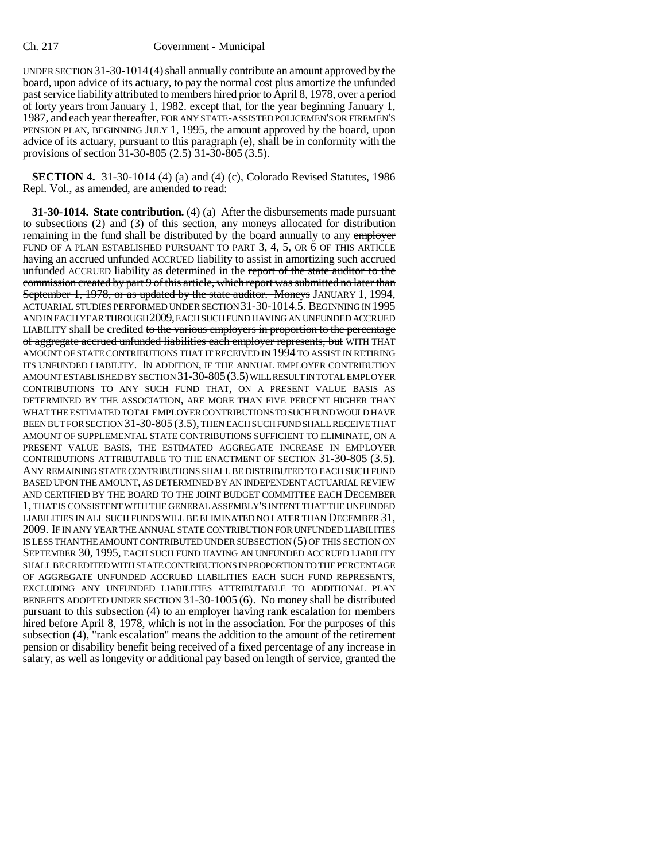UNDER SECTION  $31-30-1014(4)$  shall annually contribute an amount approved by the board, upon advice of its actuary, to pay the normal cost plus amortize the unfunded past service liability attributed to members hired prior to April 8, 1978, over a period of forty years from January 1, 1982. except that, for the year beginning January 1, 1987, and each year thereafter, FOR ANY STATE-ASSISTED POLICEMEN'S OR FIREMEN'S PENSION PLAN, BEGINNING JULY 1, 1995, the amount approved by the board, upon advice of its actuary, pursuant to this paragraph (e), shall be in conformity with the provisions of section  $\frac{1}{31-30-805}$   $\frac{(2.5)}{21-30-805}$   $\frac{(3.5)}{21}$ .

**SECTION 4.** 31-30-1014 (4) (a) and (4) (c), Colorado Revised Statutes, 1986 Repl. Vol., as amended, are amended to read:

**31-30-1014. State contribution.** (4) (a) After the disbursements made pursuant to subsections (2) and (3) of this section, any moneys allocated for distribution remaining in the fund shall be distributed by the board annually to any employer FUND OF A PLAN ESTABLISHED PURSUANT TO PART 3, 4, 5, OR 6 OF THIS ARTICLE having an accrued unfunded ACCRUED liability to assist in amortizing such accrued unfunded ACCRUED liability as determined in the report of the state auditor to the commission created by part 9 of this article, which report was submitted no later than September 1, 1978, or as updated by the state auditor. Moneys JANUARY 1, 1994, ACTUARIAL STUDIES PERFORMED UNDER SECTION 31-30-1014.5. BEGINNING IN 1995 AND IN EACH YEAR THROUGH 2009, EACH SUCH FUND HAVING AN UNFUNDED ACCRUED LIABILITY shall be credited to the various employers in proportion to the percentage of aggregate accrued unfunded liabilities each employer represents, but WITH THAT AMOUNT OF STATE CONTRIBUTIONS THAT IT RECEIVED IN 1994 TO ASSIST IN RETIRING ITS UNFUNDED LIABILITY. IN ADDITION, IF THE ANNUAL EMPLOYER CONTRIBUTION AMOUNT ESTABLISHED BY SECTION 31-30-805(3.5) WILL RESULT IN TOTAL EMPLOYER CONTRIBUTIONS TO ANY SUCH FUND THAT, ON A PRESENT VALUE BASIS AS DETERMINED BY THE ASSOCIATION, ARE MORE THAN FIVE PERCENT HIGHER THAN WHAT THE ESTIMATED TOTAL EMPLOYER CONTRIBUTIONS TO SUCH FUND WOULD HAVE BEEN BUT FOR SECTION 31-30-805 (3.5), THEN EACH SUCH FUND SHALL RECEIVE THAT AMOUNT OF SUPPLEMENTAL STATE CONTRIBUTIONS SUFFICIENT TO ELIMINATE, ON A PRESENT VALUE BASIS, THE ESTIMATED AGGREGATE INCREASE IN EMPLOYER CONTRIBUTIONS ATTRIBUTABLE TO THE ENACTMENT OF SECTION 31-30-805 (3.5). ANY REMAINING STATE CONTRIBUTIONS SHALL BE DISTRIBUTED TO EACH SUCH FUND BASED UPON THE AMOUNT, AS DETERMINED BY AN INDEPENDENT ACTUARIAL REVIEW AND CERTIFIED BY THE BOARD TO THE JOINT BUDGET COMMITTEE EACH DECEMBER 1, THAT IS CONSISTENT WITH THE GENERAL ASSEMBLY'S INTENT THAT THE UNFUNDED LIABILITIES IN ALL SUCH FUNDS WILL BE ELIMINATED NO LATER THAN DECEMBER 31, 2009. IF IN ANY YEAR THE ANNUAL STATE CONTRIBUTION FOR UNFUNDED LIABILITIES IS LESS THAN THE AMOUNT CONTRIBUTED UNDER SUBSECTION (5) OF THIS SECTION ON SEPTEMBER 30, 1995, EACH SUCH FUND HAVING AN UNFUNDED ACCRUED LIABILITY SHALL BE CREDITED WITH STATE CONTRIBUTIONS IN PROPORTION TO THE PERCENTAGE OF AGGREGATE UNFUNDED ACCRUED LIABILITIES EACH SUCH FUND REPRESENTS, EXCLUDING ANY UNFUNDED LIABILITIES ATTRIBUTABLE TO ADDITIONAL PLAN BENEFITS ADOPTED UNDER SECTION 31-30-1005 (6). No money shall be distributed pursuant to this subsection (4) to an employer having rank escalation for members hired before April 8, 1978, which is not in the association. For the purposes of this subsection (4), "rank escalation" means the addition to the amount of the retirement pension or disability benefit being received of a fixed percentage of any increase in salary, as well as longevity or additional pay based on length of service, granted the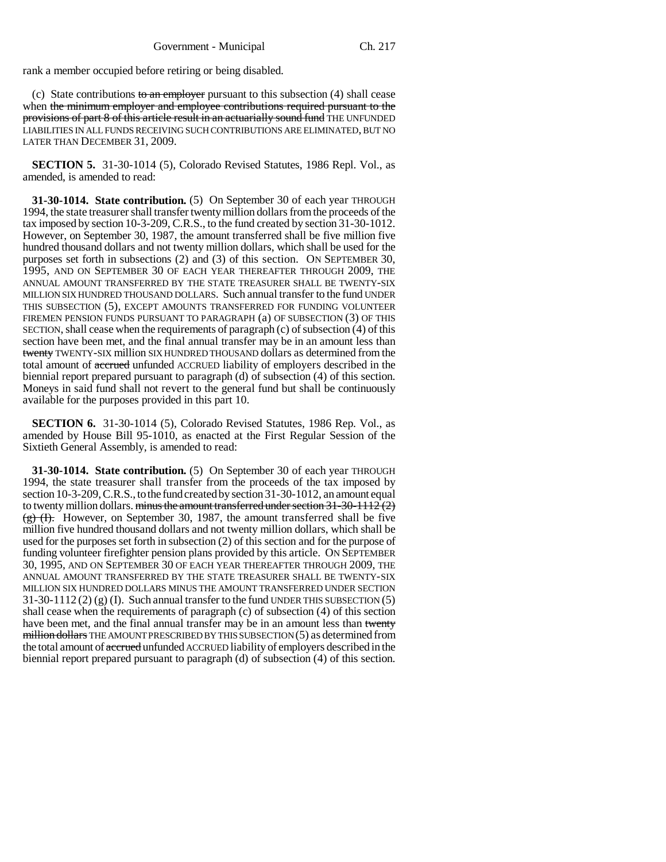rank a member occupied before retiring or being disabled.

(c) State contributions to an employer pursuant to this subsection  $(4)$  shall cease when the minimum employer and employee contributions required pursuant to the provisions of part 8 of this article result in an actuarially sound fund THE UNFUNDED LIABILITIES IN ALL FUNDS RECEIVING SUCH CONTRIBUTIONS ARE ELIMINATED, BUT NO LATER THAN DECEMBER 31, 2009.

**SECTION 5.** 31-30-1014 (5), Colorado Revised Statutes, 1986 Repl. Vol., as amended, is amended to read:

**31-30-1014. State contribution.** (5) On September 30 of each year THROUGH 1994, the state treasurer shall transfer twenty million dollars from the proceeds of the tax imposed by section 10-3-209, C.R.S., to the fund created by section 31-30-1012. However, on September 30, 1987, the amount transferred shall be five million five hundred thousand dollars and not twenty million dollars, which shall be used for the purposes set forth in subsections (2) and (3) of this section. ON SEPTEMBER 30, 1995, AND ON SEPTEMBER 30 OF EACH YEAR THEREAFTER THROUGH 2009, THE ANNUAL AMOUNT TRANSFERRED BY THE STATE TREASURER SHALL BE TWENTY-SIX MILLION SIX HUNDRED THOUSAND DOLLARS. Such annual transfer to the fund UNDER THIS SUBSECTION (5), EXCEPT AMOUNTS TRANSFERRED FOR FUNDING VOLUNTEER FIREMEN PENSION FUNDS PURSUANT TO PARAGRAPH (a) OF SUBSECTION (3) OF THIS SECTION, shall cease when the requirements of paragraph (c) of subsection (4) of this section have been met, and the final annual transfer may be in an amount less than twenty TWENTY-SIX million SIX HUNDRED THOUSAND dollars as determined from the total amount of accrued unfunded ACCRUED liability of employers described in the biennial report prepared pursuant to paragraph (d) of subsection (4) of this section. Moneys in said fund shall not revert to the general fund but shall be continuously available for the purposes provided in this part 10.

**SECTION 6.** 31-30-1014 (5), Colorado Revised Statutes, 1986 Rep. Vol., as amended by House Bill 95-1010, as enacted at the First Regular Session of the Sixtieth General Assembly, is amended to read:

**31-30-1014. State contribution.** (5) On September 30 of each year THROUGH 1994, the state treasurer shall transfer from the proceeds of the tax imposed by section 10-3-209, C.R.S., to the fund created by section 31-30-1012, an amount equal to twenty million dollars. minus the amount transferred under section  $31-30-1112(2)$  $\frac{f(x)}{g}$  (F). However, on September 30, 1987, the amount transferred shall be five million five hundred thousand dollars and not twenty million dollars, which shall be used for the purposes set forth in subsection (2) of this section and for the purpose of funding volunteer firefighter pension plans provided by this article. ON SEPTEMBER 30, 1995, AND ON SEPTEMBER 30 OF EACH YEAR THEREAFTER THROUGH 2009, THE ANNUAL AMOUNT TRANSFERRED BY THE STATE TREASURER SHALL BE TWENTY-SIX MILLION SIX HUNDRED DOLLARS MINUS THE AMOUNT TRANSFERRED UNDER SECTION  $31-30-1112(2)$  (g) (I). Such annual transfer to the fund UNDER THIS SUBSECTION (5) shall cease when the requirements of paragraph (c) of subsection (4) of this section have been met, and the final annual transfer may be in an amount less than twenty million dollars THE AMOUNT PRESCRIBED BY THIS SUBSECTION (5) as determined from the total amount of accrued unfunded ACCRUED liability of employers described in the biennial report prepared pursuant to paragraph (d) of subsection (4) of this section.